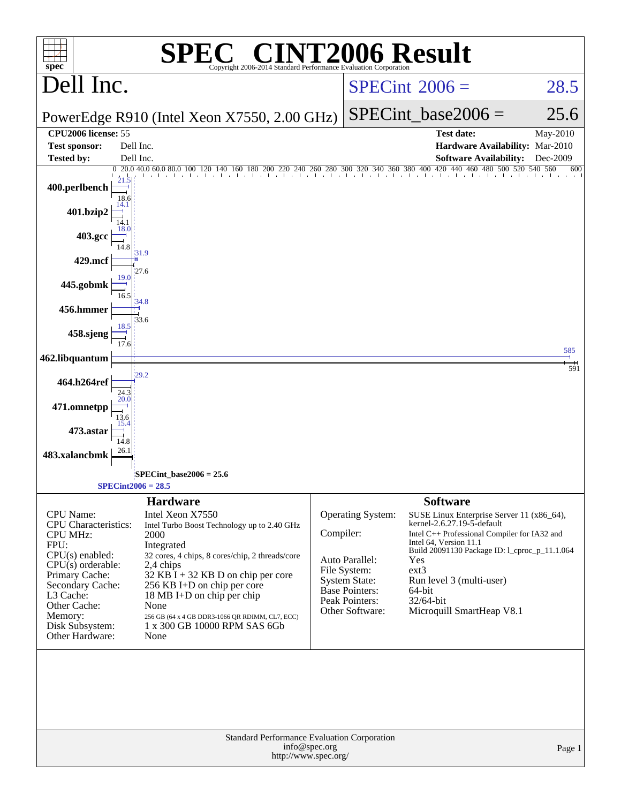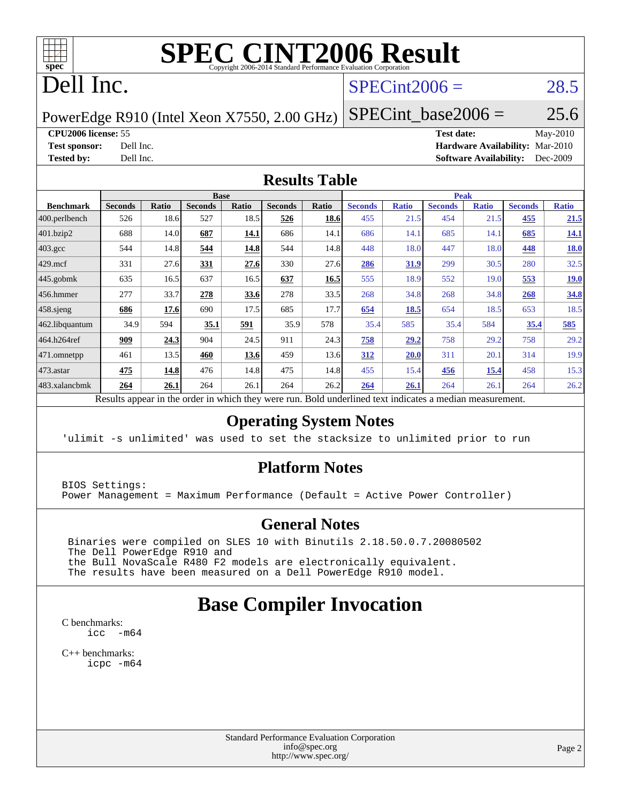

# **[SPEC CINT2006 Result](http://www.spec.org/auto/cpu2006/Docs/result-fields.html#SPECCINT2006Result)**

# Dell Inc.

#### $SPECint2006 = 28.5$  $SPECint2006 = 28.5$

PowerEdge R910 (Intel Xeon X7550, 2.00 GHz)

**[Tested by:](http://www.spec.org/auto/cpu2006/Docs/result-fields.html#Testedby)** Dell Inc. **[Software Availability:](http://www.spec.org/auto/cpu2006/Docs/result-fields.html#SoftwareAvailability)** Dec-2009

**[CPU2006 license:](http://www.spec.org/auto/cpu2006/Docs/result-fields.html#CPU2006license)** 55 **[Test date:](http://www.spec.org/auto/cpu2006/Docs/result-fields.html#Testdate)** May-2010 **[Test sponsor:](http://www.spec.org/auto/cpu2006/Docs/result-fields.html#Testsponsor)** Dell Inc. **[Hardware Availability:](http://www.spec.org/auto/cpu2006/Docs/result-fields.html#HardwareAvailability)** Mar-2010

 $SPECTnt\_base2006 = 25.6$ 

#### **[Results Table](http://www.spec.org/auto/cpu2006/Docs/result-fields.html#ResultsTable)**

|                  |                |              |                | <b>Base</b> |                |       |                |              | <b>Peak</b>    |              |                |              |
|------------------|----------------|--------------|----------------|-------------|----------------|-------|----------------|--------------|----------------|--------------|----------------|--------------|
| <b>Benchmark</b> | <b>Seconds</b> | <b>Ratio</b> | <b>Seconds</b> | Ratio       | <b>Seconds</b> | Ratio | <b>Seconds</b> | <b>Ratio</b> | <b>Seconds</b> | <b>Ratio</b> | <b>Seconds</b> | <b>Ratio</b> |
| 400.perlbench    | 526            | 18.6         | 527            | 18.5        | 526            | 18.6  | 455            | 21.5         | 454            | 21.5         | 455            | 21.5         |
| 401.bzip2        | 688            | 14.0         | 687            | 14.1        | 686            | 14.1  | 686            | 14.1         | 685            | 14.1         | 685            | <b>14.1</b>  |
| $403.\text{gcc}$ | 544            | 14.8         | 544            | 14.8        | 544            | 14.8  | 448            | 18.0         | 447            | 18.0         | 448            | <b>18.0</b>  |
| $429$ .mcf       | 331            | 27.6         | 331            | 27.6        | 330            | 27.6  | 286            | 31.9         | 299            | 30.5         | 280            | 32.5         |
| $445$ .gobmk     | 635            | 16.5         | 637            | 16.5        | 637            | 16.5  | 555            | 18.9         | 552            | 19.0         | 553            | 19.0         |
| $456.$ hmmer     | 277            | 33.7         | 278            | 33.6        | 278            | 33.5  | 268            | 34.8         | 268            | 34.8         | 268            | 34.8         |
| $458$ .sjeng     | 686            | 17.6         | 690            | 17.5        | 685            | 17.7  | 654            | 18.5         | 654            | 18.5         | 653            | 18.5         |
| 462.libquantum   | 34.9           | 594          | 35.1           | 591         | 35.9           | 578   | 35.4           | 585          | 35.4           | 584          | 35.4           | 585          |
| 464.h264ref      | 909            | 24.3         | 904            | 24.5        | 911            | 24.3  | 758            | 29.2         | 758            | 29.2         | 758            | 29.2         |
| 471.omnetpp      | 461            | 13.5         | 460            | 13.6        | 459            | 13.6  | 312            | 20.0         | 311            | 20.1         | 314            | 19.9         |
| $473$ . astar    | 475            | 14.8         | 476            | 14.8        | 475            | 14.8  | 455            | 15.4         | <u>456</u>     | <u>15.4</u>  | 458            | 15.3         |
| 483.xalancbmk    | 264            | 26.1         | 264            | 26.1        | 264            | 26.2  | 264            | 26.1         | 264            | 26.1         | 264            | 26.2         |

Results appear in the [order in which they were run.](http://www.spec.org/auto/cpu2006/Docs/result-fields.html#RunOrder) Bold underlined text [indicates a median measurement.](http://www.spec.org/auto/cpu2006/Docs/result-fields.html#Median)

#### **[Operating System Notes](http://www.spec.org/auto/cpu2006/Docs/result-fields.html#OperatingSystemNotes)**

'ulimit -s unlimited' was used to set the stacksize to unlimited prior to run

#### **[Platform Notes](http://www.spec.org/auto/cpu2006/Docs/result-fields.html#PlatformNotes)**

BIOS Settings: Power Management = Maximum Performance (Default = Active Power Controller)

#### **[General Notes](http://www.spec.org/auto/cpu2006/Docs/result-fields.html#GeneralNotes)**

 Binaries were compiled on SLES 10 with Binutils 2.18.50.0.7.20080502 The Dell PowerEdge R910 and the Bull NovaScale R480 F2 models are electronically equivalent. The results have been measured on a Dell PowerEdge R910 model.

### **[Base Compiler Invocation](http://www.spec.org/auto/cpu2006/Docs/result-fields.html#BaseCompilerInvocation)**

[C benchmarks](http://www.spec.org/auto/cpu2006/Docs/result-fields.html#Cbenchmarks): [icc -m64](http://www.spec.org/cpu2006/results/res2010q3/cpu2006-20100621-11943.flags.html#user_CCbase_intel_icc_64bit_f346026e86af2a669e726fe758c88044)

[C++ benchmarks:](http://www.spec.org/auto/cpu2006/Docs/result-fields.html#CXXbenchmarks) [icpc -m64](http://www.spec.org/cpu2006/results/res2010q3/cpu2006-20100621-11943.flags.html#user_CXXbase_intel_icpc_64bit_fc66a5337ce925472a5c54ad6a0de310)

> Standard Performance Evaluation Corporation [info@spec.org](mailto:info@spec.org) <http://www.spec.org/>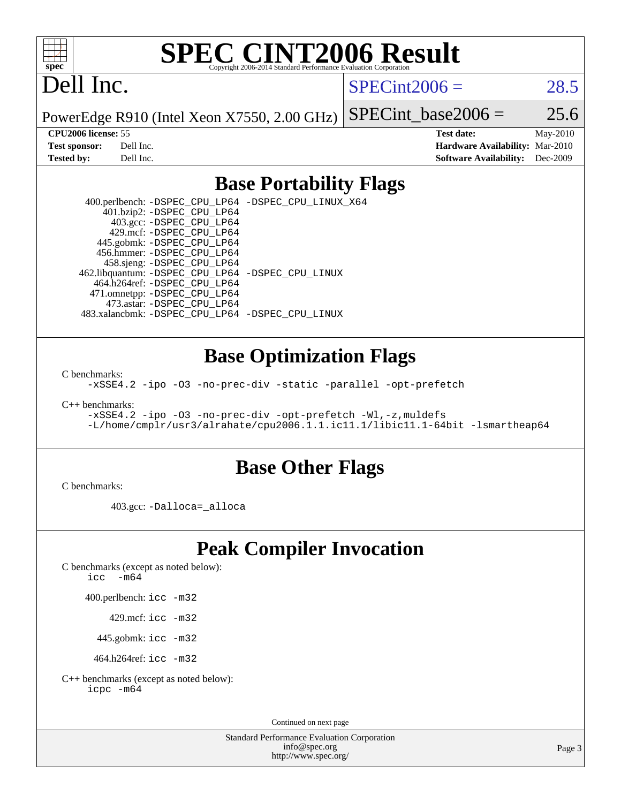

# **[SPEC CINT2006 Result](http://www.spec.org/auto/cpu2006/Docs/result-fields.html#SPECCINT2006Result)**

# Dell Inc.

 $SPECint2006 = 28.5$  $SPECint2006 = 28.5$ 

PowerEdge R910 (Intel Xeon X7550, 2.00 GHz) SPECint base2006 =  $25.6$ 

**[CPU2006 license:](http://www.spec.org/auto/cpu2006/Docs/result-fields.html#CPU2006license)** 55 **[Test date:](http://www.spec.org/auto/cpu2006/Docs/result-fields.html#Testdate)** May-2010 **[Test sponsor:](http://www.spec.org/auto/cpu2006/Docs/result-fields.html#Testsponsor)** Dell Inc. **[Hardware Availability:](http://www.spec.org/auto/cpu2006/Docs/result-fields.html#HardwareAvailability)** Mar-2010 **[Tested by:](http://www.spec.org/auto/cpu2006/Docs/result-fields.html#Testedby)** Dell Inc. **[Software Availability:](http://www.spec.org/auto/cpu2006/Docs/result-fields.html#SoftwareAvailability)** Dec-2009

#### **[Base Portability Flags](http://www.spec.org/auto/cpu2006/Docs/result-fields.html#BasePortabilityFlags)**

 400.perlbench: [-DSPEC\\_CPU\\_LP64](http://www.spec.org/cpu2006/results/res2010q3/cpu2006-20100621-11943.flags.html#b400.perlbench_basePORTABILITY_DSPEC_CPU_LP64) [-DSPEC\\_CPU\\_LINUX\\_X64](http://www.spec.org/cpu2006/results/res2010q3/cpu2006-20100621-11943.flags.html#b400.perlbench_baseCPORTABILITY_DSPEC_CPU_LINUX_X64) 401.bzip2: [-DSPEC\\_CPU\\_LP64](http://www.spec.org/cpu2006/results/res2010q3/cpu2006-20100621-11943.flags.html#suite_basePORTABILITY401_bzip2_DSPEC_CPU_LP64) 403.gcc: [-DSPEC\\_CPU\\_LP64](http://www.spec.org/cpu2006/results/res2010q3/cpu2006-20100621-11943.flags.html#suite_basePORTABILITY403_gcc_DSPEC_CPU_LP64) 429.mcf: [-DSPEC\\_CPU\\_LP64](http://www.spec.org/cpu2006/results/res2010q3/cpu2006-20100621-11943.flags.html#suite_basePORTABILITY429_mcf_DSPEC_CPU_LP64) 445.gobmk: [-DSPEC\\_CPU\\_LP64](http://www.spec.org/cpu2006/results/res2010q3/cpu2006-20100621-11943.flags.html#suite_basePORTABILITY445_gobmk_DSPEC_CPU_LP64) 456.hmmer: [-DSPEC\\_CPU\\_LP64](http://www.spec.org/cpu2006/results/res2010q3/cpu2006-20100621-11943.flags.html#suite_basePORTABILITY456_hmmer_DSPEC_CPU_LP64) 458.sjeng: [-DSPEC\\_CPU\\_LP64](http://www.spec.org/cpu2006/results/res2010q3/cpu2006-20100621-11943.flags.html#suite_basePORTABILITY458_sjeng_DSPEC_CPU_LP64) 462.libquantum: [-DSPEC\\_CPU\\_LP64](http://www.spec.org/cpu2006/results/res2010q3/cpu2006-20100621-11943.flags.html#suite_basePORTABILITY462_libquantum_DSPEC_CPU_LP64) [-DSPEC\\_CPU\\_LINUX](http://www.spec.org/cpu2006/results/res2010q3/cpu2006-20100621-11943.flags.html#b462.libquantum_baseCPORTABILITY_DSPEC_CPU_LINUX) 464.h264ref: [-DSPEC\\_CPU\\_LP64](http://www.spec.org/cpu2006/results/res2010q3/cpu2006-20100621-11943.flags.html#suite_basePORTABILITY464_h264ref_DSPEC_CPU_LP64) 471.omnetpp: [-DSPEC\\_CPU\\_LP64](http://www.spec.org/cpu2006/results/res2010q3/cpu2006-20100621-11943.flags.html#suite_basePORTABILITY471_omnetpp_DSPEC_CPU_LP64) 473.astar: [-DSPEC\\_CPU\\_LP64](http://www.spec.org/cpu2006/results/res2010q3/cpu2006-20100621-11943.flags.html#suite_basePORTABILITY473_astar_DSPEC_CPU_LP64) 483.xalancbmk: [-DSPEC\\_CPU\\_LP64](http://www.spec.org/cpu2006/results/res2010q3/cpu2006-20100621-11943.flags.html#suite_basePORTABILITY483_xalancbmk_DSPEC_CPU_LP64) [-DSPEC\\_CPU\\_LINUX](http://www.spec.org/cpu2006/results/res2010q3/cpu2006-20100621-11943.flags.html#b483.xalancbmk_baseCXXPORTABILITY_DSPEC_CPU_LINUX)

#### **[Base Optimization Flags](http://www.spec.org/auto/cpu2006/Docs/result-fields.html#BaseOptimizationFlags)**

[C benchmarks](http://www.spec.org/auto/cpu2006/Docs/result-fields.html#Cbenchmarks):

[-xSSE4.2](http://www.spec.org/cpu2006/results/res2010q3/cpu2006-20100621-11943.flags.html#user_CCbase_f-xSSE42_f91528193cf0b216347adb8b939d4107) [-ipo](http://www.spec.org/cpu2006/results/res2010q3/cpu2006-20100621-11943.flags.html#user_CCbase_f-ipo) [-O3](http://www.spec.org/cpu2006/results/res2010q3/cpu2006-20100621-11943.flags.html#user_CCbase_f-O3) [-no-prec-div](http://www.spec.org/cpu2006/results/res2010q3/cpu2006-20100621-11943.flags.html#user_CCbase_f-no-prec-div) [-static](http://www.spec.org/cpu2006/results/res2010q3/cpu2006-20100621-11943.flags.html#user_CCbase_f-static) [-parallel](http://www.spec.org/cpu2006/results/res2010q3/cpu2006-20100621-11943.flags.html#user_CCbase_f-parallel) [-opt-prefetch](http://www.spec.org/cpu2006/results/res2010q3/cpu2006-20100621-11943.flags.html#user_CCbase_f-opt-prefetch)

[C++ benchmarks:](http://www.spec.org/auto/cpu2006/Docs/result-fields.html#CXXbenchmarks)

[-xSSE4.2](http://www.spec.org/cpu2006/results/res2010q3/cpu2006-20100621-11943.flags.html#user_CXXbase_f-xSSE42_f91528193cf0b216347adb8b939d4107) [-ipo](http://www.spec.org/cpu2006/results/res2010q3/cpu2006-20100621-11943.flags.html#user_CXXbase_f-ipo) [-O3](http://www.spec.org/cpu2006/results/res2010q3/cpu2006-20100621-11943.flags.html#user_CXXbase_f-O3) [-no-prec-div](http://www.spec.org/cpu2006/results/res2010q3/cpu2006-20100621-11943.flags.html#user_CXXbase_f-no-prec-div) [-opt-prefetch](http://www.spec.org/cpu2006/results/res2010q3/cpu2006-20100621-11943.flags.html#user_CXXbase_f-opt-prefetch) [-Wl,-z,muldefs](http://www.spec.org/cpu2006/results/res2010q3/cpu2006-20100621-11943.flags.html#user_CXXbase_link_force_multiple1_74079c344b956b9658436fd1b6dd3a8a) [-L/home/cmplr/usr3/alrahate/cpu2006.1.1.ic11.1/libic11.1-64bit -lsmartheap64](http://www.spec.org/cpu2006/results/res2010q3/cpu2006-20100621-11943.flags.html#user_CXXbase_SmartHeap64_e2306cda84805d1ab360117a79ff779c)

#### **[Base Other Flags](http://www.spec.org/auto/cpu2006/Docs/result-fields.html#BaseOtherFlags)**

[C benchmarks](http://www.spec.org/auto/cpu2006/Docs/result-fields.html#Cbenchmarks):

403.gcc: [-Dalloca=\\_alloca](http://www.spec.org/cpu2006/results/res2010q3/cpu2006-20100621-11943.flags.html#b403.gcc_baseEXTRA_CFLAGS_Dalloca_be3056838c12de2578596ca5467af7f3)

## **[Peak Compiler Invocation](http://www.spec.org/auto/cpu2006/Docs/result-fields.html#PeakCompilerInvocation)**

[C benchmarks \(except as noted below\)](http://www.spec.org/auto/cpu2006/Docs/result-fields.html#Cbenchmarksexceptasnotedbelow):

[icc -m64](http://www.spec.org/cpu2006/results/res2010q3/cpu2006-20100621-11943.flags.html#user_CCpeak_intel_icc_64bit_f346026e86af2a669e726fe758c88044)

400.perlbench: [icc -m32](http://www.spec.org/cpu2006/results/res2010q3/cpu2006-20100621-11943.flags.html#user_peakCCLD400_perlbench_intel_icc_32bit_a6a621f8d50482236b970c6ac5f55f93)

429.mcf: [icc -m32](http://www.spec.org/cpu2006/results/res2010q3/cpu2006-20100621-11943.flags.html#user_peakCCLD429_mcf_intel_icc_32bit_a6a621f8d50482236b970c6ac5f55f93)

445.gobmk: [icc -m32](http://www.spec.org/cpu2006/results/res2010q3/cpu2006-20100621-11943.flags.html#user_peakCCLD445_gobmk_intel_icc_32bit_a6a621f8d50482236b970c6ac5f55f93)

464.h264ref: [icc -m32](http://www.spec.org/cpu2006/results/res2010q3/cpu2006-20100621-11943.flags.html#user_peakCCLD464_h264ref_intel_icc_32bit_a6a621f8d50482236b970c6ac5f55f93)

[C++ benchmarks \(except as noted below\):](http://www.spec.org/auto/cpu2006/Docs/result-fields.html#CXXbenchmarksexceptasnotedbelow) [icpc -m64](http://www.spec.org/cpu2006/results/res2010q3/cpu2006-20100621-11943.flags.html#user_CXXpeak_intel_icpc_64bit_fc66a5337ce925472a5c54ad6a0de310)

Continued on next page

Standard Performance Evaluation Corporation [info@spec.org](mailto:info@spec.org) <http://www.spec.org/>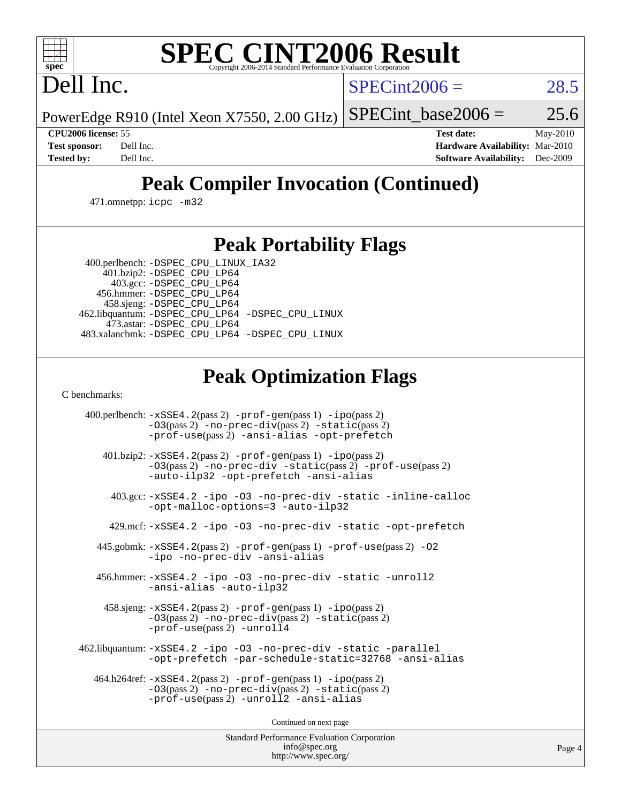# **[SPEC CINT2006 Result](http://www.spec.org/auto/cpu2006/Docs/result-fields.html#SPECCINT2006Result)**

Dell Inc.

 $SPECint2006 = 28.5$  $SPECint2006 = 28.5$ 

PowerEdge R910 (Intel Xeon X7550, 2.00 GHz) SPECint base2006 =  $25.6$ 

**[CPU2006 license:](http://www.spec.org/auto/cpu2006/Docs/result-fields.html#CPU2006license)** 55 **[Test date:](http://www.spec.org/auto/cpu2006/Docs/result-fields.html#Testdate)** May-2010 **[Test sponsor:](http://www.spec.org/auto/cpu2006/Docs/result-fields.html#Testsponsor)** Dell Inc. **[Hardware Availability:](http://www.spec.org/auto/cpu2006/Docs/result-fields.html#HardwareAvailability)** Mar-2010 **[Tested by:](http://www.spec.org/auto/cpu2006/Docs/result-fields.html#Testedby)** Dell Inc. **[Software Availability:](http://www.spec.org/auto/cpu2006/Docs/result-fields.html#SoftwareAvailability)** Dec-2009

## **[Peak Compiler Invocation \(Continued\)](http://www.spec.org/auto/cpu2006/Docs/result-fields.html#PeakCompilerInvocation)**

471.omnetpp: [icpc -m32](http://www.spec.org/cpu2006/results/res2010q3/cpu2006-20100621-11943.flags.html#user_peakCXXLD471_omnetpp_intel_icpc_32bit_4e5a5ef1a53fd332b3c49e69c3330699)

### **[Peak Portability Flags](http://www.spec.org/auto/cpu2006/Docs/result-fields.html#PeakPortabilityFlags)**

 400.perlbench: [-DSPEC\\_CPU\\_LINUX\\_IA32](http://www.spec.org/cpu2006/results/res2010q3/cpu2006-20100621-11943.flags.html#b400.perlbench_peakCPORTABILITY_DSPEC_CPU_LINUX_IA32) 401.bzip2: [-DSPEC\\_CPU\\_LP64](http://www.spec.org/cpu2006/results/res2010q3/cpu2006-20100621-11943.flags.html#suite_peakPORTABILITY401_bzip2_DSPEC_CPU_LP64)

 403.gcc: [-DSPEC\\_CPU\\_LP64](http://www.spec.org/cpu2006/results/res2010q3/cpu2006-20100621-11943.flags.html#suite_peakPORTABILITY403_gcc_DSPEC_CPU_LP64) 456.hmmer: [-DSPEC\\_CPU\\_LP64](http://www.spec.org/cpu2006/results/res2010q3/cpu2006-20100621-11943.flags.html#suite_peakPORTABILITY456_hmmer_DSPEC_CPU_LP64) 458.sjeng: [-DSPEC\\_CPU\\_LP64](http://www.spec.org/cpu2006/results/res2010q3/cpu2006-20100621-11943.flags.html#suite_peakPORTABILITY458_sjeng_DSPEC_CPU_LP64) 462.libquantum: [-DSPEC\\_CPU\\_LP64](http://www.spec.org/cpu2006/results/res2010q3/cpu2006-20100621-11943.flags.html#suite_peakPORTABILITY462_libquantum_DSPEC_CPU_LP64) [-DSPEC\\_CPU\\_LINUX](http://www.spec.org/cpu2006/results/res2010q3/cpu2006-20100621-11943.flags.html#b462.libquantum_peakCPORTABILITY_DSPEC_CPU_LINUX) 473.astar: [-DSPEC\\_CPU\\_LP64](http://www.spec.org/cpu2006/results/res2010q3/cpu2006-20100621-11943.flags.html#suite_peakPORTABILITY473_astar_DSPEC_CPU_LP64) 483.xalancbmk: [-DSPEC\\_CPU\\_LP64](http://www.spec.org/cpu2006/results/res2010q3/cpu2006-20100621-11943.flags.html#suite_peakPORTABILITY483_xalancbmk_DSPEC_CPU_LP64) [-DSPEC\\_CPU\\_LINUX](http://www.spec.org/cpu2006/results/res2010q3/cpu2006-20100621-11943.flags.html#b483.xalancbmk_peakCXXPORTABILITY_DSPEC_CPU_LINUX)

## **[Peak Optimization Flags](http://www.spec.org/auto/cpu2006/Docs/result-fields.html#PeakOptimizationFlags)**

[C benchmarks](http://www.spec.org/auto/cpu2006/Docs/result-fields.html#Cbenchmarks):

 400.perlbench: [-xSSE4.2](http://www.spec.org/cpu2006/results/res2010q3/cpu2006-20100621-11943.flags.html#user_peakPASS2_CFLAGSPASS2_LDCFLAGS400_perlbench_f-xSSE42_f91528193cf0b216347adb8b939d4107)(pass 2) [-prof-gen](http://www.spec.org/cpu2006/results/res2010q3/cpu2006-20100621-11943.flags.html#user_peakPASS1_CFLAGSPASS1_LDCFLAGS400_perlbench_prof_gen_e43856698f6ca7b7e442dfd80e94a8fc)(pass 1) [-ipo](http://www.spec.org/cpu2006/results/res2010q3/cpu2006-20100621-11943.flags.html#user_peakPASS2_CFLAGSPASS2_LDCFLAGS400_perlbench_f-ipo)(pass 2) [-O3](http://www.spec.org/cpu2006/results/res2010q3/cpu2006-20100621-11943.flags.html#user_peakPASS2_CFLAGSPASS2_LDCFLAGS400_perlbench_f-O3)(pass 2) [-no-prec-div](http://www.spec.org/cpu2006/results/res2010q3/cpu2006-20100621-11943.flags.html#user_peakPASS2_CFLAGSPASS2_LDCFLAGS400_perlbench_f-no-prec-div)(pass 2) [-static](http://www.spec.org/cpu2006/results/res2010q3/cpu2006-20100621-11943.flags.html#user_peakPASS2_CFLAGSPASS2_LDCFLAGS400_perlbench_f-static)(pass 2) [-prof-use](http://www.spec.org/cpu2006/results/res2010q3/cpu2006-20100621-11943.flags.html#user_peakPASS2_CFLAGSPASS2_LDCFLAGS400_perlbench_prof_use_bccf7792157ff70d64e32fe3e1250b55)(pass 2) [-ansi-alias](http://www.spec.org/cpu2006/results/res2010q3/cpu2006-20100621-11943.flags.html#user_peakCOPTIMIZE400_perlbench_f-ansi-alias) [-opt-prefetch](http://www.spec.org/cpu2006/results/res2010q3/cpu2006-20100621-11943.flags.html#user_peakCOPTIMIZE400_perlbench_f-opt-prefetch) 401.bzip2: [-xSSE4.2](http://www.spec.org/cpu2006/results/res2010q3/cpu2006-20100621-11943.flags.html#user_peakPASS2_CFLAGSPASS2_LDCFLAGS401_bzip2_f-xSSE42_f91528193cf0b216347adb8b939d4107)(pass 2) [-prof-gen](http://www.spec.org/cpu2006/results/res2010q3/cpu2006-20100621-11943.flags.html#user_peakPASS1_CFLAGSPASS1_LDCFLAGS401_bzip2_prof_gen_e43856698f6ca7b7e442dfd80e94a8fc)(pass 1) [-ipo](http://www.spec.org/cpu2006/results/res2010q3/cpu2006-20100621-11943.flags.html#user_peakPASS2_CFLAGSPASS2_LDCFLAGS401_bzip2_f-ipo)(pass 2) [-O3](http://www.spec.org/cpu2006/results/res2010q3/cpu2006-20100621-11943.flags.html#user_peakPASS2_CFLAGSPASS2_LDCFLAGS401_bzip2_f-O3)(pass 2) [-no-prec-div](http://www.spec.org/cpu2006/results/res2010q3/cpu2006-20100621-11943.flags.html#user_peakCOPTIMIZEPASS2_CFLAGSPASS2_LDCFLAGS401_bzip2_f-no-prec-div) [-static](http://www.spec.org/cpu2006/results/res2010q3/cpu2006-20100621-11943.flags.html#user_peakPASS2_CFLAGSPASS2_LDCFLAGS401_bzip2_f-static)(pass 2) [-prof-use](http://www.spec.org/cpu2006/results/res2010q3/cpu2006-20100621-11943.flags.html#user_peakPASS2_CFLAGSPASS2_LDCFLAGS401_bzip2_prof_use_bccf7792157ff70d64e32fe3e1250b55)(pass 2) [-auto-ilp32](http://www.spec.org/cpu2006/results/res2010q3/cpu2006-20100621-11943.flags.html#user_peakCOPTIMIZE401_bzip2_f-auto-ilp32) [-opt-prefetch](http://www.spec.org/cpu2006/results/res2010q3/cpu2006-20100621-11943.flags.html#user_peakCOPTIMIZE401_bzip2_f-opt-prefetch) [-ansi-alias](http://www.spec.org/cpu2006/results/res2010q3/cpu2006-20100621-11943.flags.html#user_peakCOPTIMIZE401_bzip2_f-ansi-alias) 403.gcc: [-xSSE4.2](http://www.spec.org/cpu2006/results/res2010q3/cpu2006-20100621-11943.flags.html#user_peakCOPTIMIZE403_gcc_f-xSSE42_f91528193cf0b216347adb8b939d4107) [-ipo](http://www.spec.org/cpu2006/results/res2010q3/cpu2006-20100621-11943.flags.html#user_peakCOPTIMIZE403_gcc_f-ipo) [-O3](http://www.spec.org/cpu2006/results/res2010q3/cpu2006-20100621-11943.flags.html#user_peakCOPTIMIZE403_gcc_f-O3) [-no-prec-div](http://www.spec.org/cpu2006/results/res2010q3/cpu2006-20100621-11943.flags.html#user_peakCOPTIMIZE403_gcc_f-no-prec-div) [-static](http://www.spec.org/cpu2006/results/res2010q3/cpu2006-20100621-11943.flags.html#user_peakCOPTIMIZE403_gcc_f-static) [-inline-calloc](http://www.spec.org/cpu2006/results/res2010q3/cpu2006-20100621-11943.flags.html#user_peakCOPTIMIZE403_gcc_f-inline-calloc) [-opt-malloc-options=3](http://www.spec.org/cpu2006/results/res2010q3/cpu2006-20100621-11943.flags.html#user_peakCOPTIMIZE403_gcc_f-opt-malloc-options_13ab9b803cf986b4ee62f0a5998c2238) [-auto-ilp32](http://www.spec.org/cpu2006/results/res2010q3/cpu2006-20100621-11943.flags.html#user_peakCOPTIMIZE403_gcc_f-auto-ilp32) 429.mcf: [-xSSE4.2](http://www.spec.org/cpu2006/results/res2010q3/cpu2006-20100621-11943.flags.html#user_peakCOPTIMIZE429_mcf_f-xSSE42_f91528193cf0b216347adb8b939d4107) [-ipo](http://www.spec.org/cpu2006/results/res2010q3/cpu2006-20100621-11943.flags.html#user_peakCOPTIMIZE429_mcf_f-ipo) [-O3](http://www.spec.org/cpu2006/results/res2010q3/cpu2006-20100621-11943.flags.html#user_peakCOPTIMIZE429_mcf_f-O3) [-no-prec-div](http://www.spec.org/cpu2006/results/res2010q3/cpu2006-20100621-11943.flags.html#user_peakCOPTIMIZE429_mcf_f-no-prec-div) [-static](http://www.spec.org/cpu2006/results/res2010q3/cpu2006-20100621-11943.flags.html#user_peakCOPTIMIZE429_mcf_f-static) [-opt-prefetch](http://www.spec.org/cpu2006/results/res2010q3/cpu2006-20100621-11943.flags.html#user_peakCOPTIMIZE429_mcf_f-opt-prefetch) 445.gobmk: [-xSSE4.2](http://www.spec.org/cpu2006/results/res2010q3/cpu2006-20100621-11943.flags.html#user_peakPASS2_CFLAGSPASS2_LDCFLAGS445_gobmk_f-xSSE42_f91528193cf0b216347adb8b939d4107)(pass 2) [-prof-gen](http://www.spec.org/cpu2006/results/res2010q3/cpu2006-20100621-11943.flags.html#user_peakPASS1_CFLAGSPASS1_LDCFLAGS445_gobmk_prof_gen_e43856698f6ca7b7e442dfd80e94a8fc)(pass 1) [-prof-use](http://www.spec.org/cpu2006/results/res2010q3/cpu2006-20100621-11943.flags.html#user_peakPASS2_CFLAGSPASS2_LDCFLAGS445_gobmk_prof_use_bccf7792157ff70d64e32fe3e1250b55)(pass 2) [-O2](http://www.spec.org/cpu2006/results/res2010q3/cpu2006-20100621-11943.flags.html#user_peakCOPTIMIZE445_gobmk_f-O2) [-ipo](http://www.spec.org/cpu2006/results/res2010q3/cpu2006-20100621-11943.flags.html#user_peakCOPTIMIZE445_gobmk_f-ipo) [-no-prec-div](http://www.spec.org/cpu2006/results/res2010q3/cpu2006-20100621-11943.flags.html#user_peakCOPTIMIZE445_gobmk_f-no-prec-div) [-ansi-alias](http://www.spec.org/cpu2006/results/res2010q3/cpu2006-20100621-11943.flags.html#user_peakCOPTIMIZE445_gobmk_f-ansi-alias) 456.hmmer: [-xSSE4.2](http://www.spec.org/cpu2006/results/res2010q3/cpu2006-20100621-11943.flags.html#user_peakCOPTIMIZE456_hmmer_f-xSSE42_f91528193cf0b216347adb8b939d4107) [-ipo](http://www.spec.org/cpu2006/results/res2010q3/cpu2006-20100621-11943.flags.html#user_peakCOPTIMIZE456_hmmer_f-ipo) [-O3](http://www.spec.org/cpu2006/results/res2010q3/cpu2006-20100621-11943.flags.html#user_peakCOPTIMIZE456_hmmer_f-O3) [-no-prec-div](http://www.spec.org/cpu2006/results/res2010q3/cpu2006-20100621-11943.flags.html#user_peakCOPTIMIZE456_hmmer_f-no-prec-div) [-static](http://www.spec.org/cpu2006/results/res2010q3/cpu2006-20100621-11943.flags.html#user_peakCOPTIMIZE456_hmmer_f-static) [-unroll2](http://www.spec.org/cpu2006/results/res2010q3/cpu2006-20100621-11943.flags.html#user_peakCOPTIMIZE456_hmmer_f-unroll_784dae83bebfb236979b41d2422d7ec2) [-ansi-alias](http://www.spec.org/cpu2006/results/res2010q3/cpu2006-20100621-11943.flags.html#user_peakCOPTIMIZE456_hmmer_f-ansi-alias) [-auto-ilp32](http://www.spec.org/cpu2006/results/res2010q3/cpu2006-20100621-11943.flags.html#user_peakCOPTIMIZE456_hmmer_f-auto-ilp32) 458.sjeng: [-xSSE4.2](http://www.spec.org/cpu2006/results/res2010q3/cpu2006-20100621-11943.flags.html#user_peakPASS2_CFLAGSPASS2_LDCFLAGS458_sjeng_f-xSSE42_f91528193cf0b216347adb8b939d4107)(pass 2) [-prof-gen](http://www.spec.org/cpu2006/results/res2010q3/cpu2006-20100621-11943.flags.html#user_peakPASS1_CFLAGSPASS1_LDCFLAGS458_sjeng_prof_gen_e43856698f6ca7b7e442dfd80e94a8fc)(pass 1) [-ipo](http://www.spec.org/cpu2006/results/res2010q3/cpu2006-20100621-11943.flags.html#user_peakPASS2_CFLAGSPASS2_LDCFLAGS458_sjeng_f-ipo)(pass 2) [-O3](http://www.spec.org/cpu2006/results/res2010q3/cpu2006-20100621-11943.flags.html#user_peakPASS2_CFLAGSPASS2_LDCFLAGS458_sjeng_f-O3)(pass 2) [-no-prec-div](http://www.spec.org/cpu2006/results/res2010q3/cpu2006-20100621-11943.flags.html#user_peakPASS2_CFLAGSPASS2_LDCFLAGS458_sjeng_f-no-prec-div)(pass 2) [-static](http://www.spec.org/cpu2006/results/res2010q3/cpu2006-20100621-11943.flags.html#user_peakPASS2_CFLAGSPASS2_LDCFLAGS458_sjeng_f-static)(pass 2) [-prof-use](http://www.spec.org/cpu2006/results/res2010q3/cpu2006-20100621-11943.flags.html#user_peakPASS2_CFLAGSPASS2_LDCFLAGS458_sjeng_prof_use_bccf7792157ff70d64e32fe3e1250b55)(pass 2) [-unroll4](http://www.spec.org/cpu2006/results/res2010q3/cpu2006-20100621-11943.flags.html#user_peakCOPTIMIZE458_sjeng_f-unroll_4e5e4ed65b7fd20bdcd365bec371b81f) 462.libquantum: [-xSSE4.2](http://www.spec.org/cpu2006/results/res2010q3/cpu2006-20100621-11943.flags.html#user_peakCOPTIMIZE462_libquantum_f-xSSE42_f91528193cf0b216347adb8b939d4107) [-ipo](http://www.spec.org/cpu2006/results/res2010q3/cpu2006-20100621-11943.flags.html#user_peakCOPTIMIZE462_libquantum_f-ipo) [-O3](http://www.spec.org/cpu2006/results/res2010q3/cpu2006-20100621-11943.flags.html#user_peakCOPTIMIZE462_libquantum_f-O3) [-no-prec-div](http://www.spec.org/cpu2006/results/res2010q3/cpu2006-20100621-11943.flags.html#user_peakCOPTIMIZE462_libquantum_f-no-prec-div) [-static](http://www.spec.org/cpu2006/results/res2010q3/cpu2006-20100621-11943.flags.html#user_peakCOPTIMIZE462_libquantum_f-static) [-parallel](http://www.spec.org/cpu2006/results/res2010q3/cpu2006-20100621-11943.flags.html#user_peakCOPTIMIZE462_libquantum_f-parallel) [-opt-prefetch](http://www.spec.org/cpu2006/results/res2010q3/cpu2006-20100621-11943.flags.html#user_peakCOPTIMIZE462_libquantum_f-opt-prefetch) [-par-schedule-static=32768](http://www.spec.org/cpu2006/results/res2010q3/cpu2006-20100621-11943.flags.html#user_peakCOPTIMIZE462_libquantum_f-par-schedule_9386bcd99ba64e99ee01d1aafefddd14) [-ansi-alias](http://www.spec.org/cpu2006/results/res2010q3/cpu2006-20100621-11943.flags.html#user_peakCOPTIMIZE462_libquantum_f-ansi-alias) 464.h264ref: [-xSSE4.2](http://www.spec.org/cpu2006/results/res2010q3/cpu2006-20100621-11943.flags.html#user_peakPASS2_CFLAGSPASS2_LDCFLAGS464_h264ref_f-xSSE42_f91528193cf0b216347adb8b939d4107)(pass 2) [-prof-gen](http://www.spec.org/cpu2006/results/res2010q3/cpu2006-20100621-11943.flags.html#user_peakPASS1_CFLAGSPASS1_LDCFLAGS464_h264ref_prof_gen_e43856698f6ca7b7e442dfd80e94a8fc)(pass 1) [-ipo](http://www.spec.org/cpu2006/results/res2010q3/cpu2006-20100621-11943.flags.html#user_peakPASS2_CFLAGSPASS2_LDCFLAGS464_h264ref_f-ipo)(pass 2) [-O3](http://www.spec.org/cpu2006/results/res2010q3/cpu2006-20100621-11943.flags.html#user_peakPASS2_CFLAGSPASS2_LDCFLAGS464_h264ref_f-O3)(pass 2) [-no-prec-div](http://www.spec.org/cpu2006/results/res2010q3/cpu2006-20100621-11943.flags.html#user_peakPASS2_CFLAGSPASS2_LDCFLAGS464_h264ref_f-no-prec-div)(pass 2) [-static](http://www.spec.org/cpu2006/results/res2010q3/cpu2006-20100621-11943.flags.html#user_peakPASS2_CFLAGSPASS2_LDCFLAGS464_h264ref_f-static)(pass 2) [-prof-use](http://www.spec.org/cpu2006/results/res2010q3/cpu2006-20100621-11943.flags.html#user_peakPASS2_CFLAGSPASS2_LDCFLAGS464_h264ref_prof_use_bccf7792157ff70d64e32fe3e1250b55)(pass 2) [-unroll2](http://www.spec.org/cpu2006/results/res2010q3/cpu2006-20100621-11943.flags.html#user_peakCOPTIMIZE464_h264ref_f-unroll_784dae83bebfb236979b41d2422d7ec2) [-ansi-alias](http://www.spec.org/cpu2006/results/res2010q3/cpu2006-20100621-11943.flags.html#user_peakCOPTIMIZE464_h264ref_f-ansi-alias)

Continued on next page

Standard Performance Evaluation Corporation [info@spec.org](mailto:info@spec.org) <http://www.spec.org/>